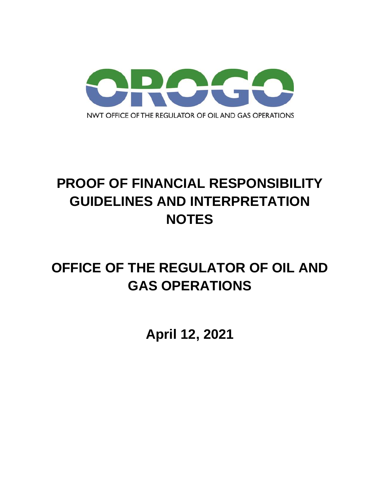

# **PROOF OF FINANCIAL RESPONSIBILITY GUIDELINES AND INTERPRETATION NOTES**

# **OFFICE OF THE REGULATOR OF OIL AND GAS OPERATIONS**

**April 12, 2021**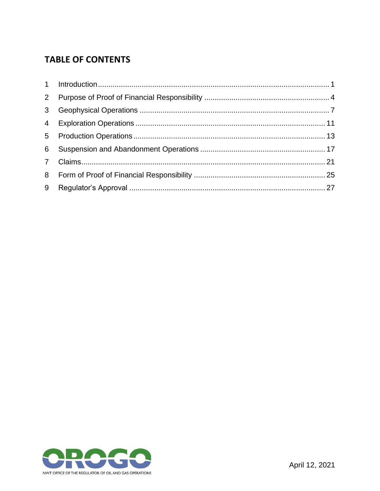# **TABLE OF CONTENTS**

| $2^{\circ}$    |  |
|----------------|--|
| 3 <sup>7</sup> |  |
|                |  |
|                |  |
| 6              |  |
|                |  |
|                |  |
| 9              |  |

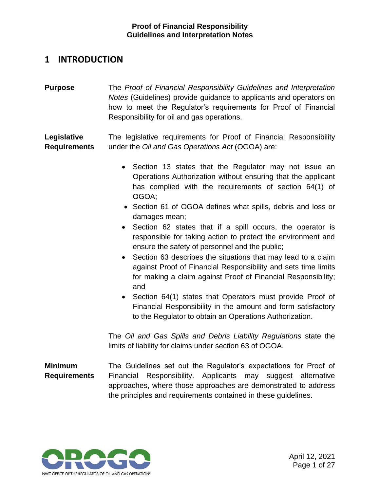# <span id="page-2-0"></span>**1 INTRODUCTION**

**Purpose** The *Proof of Financial Responsibility Guidelines and Interpretation Notes* (Guidelines) provide guidance to applicants and operators on how to meet the Regulator's requirements for Proof of Financial Responsibility for oil and gas operations.

**Legislative Requirements**  The legislative requirements for Proof of Financial Responsibility under the *Oil and Gas Operations Act* (OGOA) are:

- Section 13 states that the Regulator may not issue an Operations Authorization without ensuring that the applicant has complied with the requirements of section 64(1) of OGOA;
- Section 61 of OGOA defines what spills, debris and loss or damages mean;
- Section 62 states that if a spill occurs, the operator is responsible for taking action to protect the environment and ensure the safety of personnel and the public;
- Section 63 describes the situations that may lead to a claim against Proof of Financial Responsibility and sets time limits for making a claim against Proof of Financial Responsibility; and
- Section 64(1) states that Operators must provide Proof of Financial Responsibility in the amount and form satisfactory to the Regulator to obtain an Operations Authorization.

The *Oil and Gas Spills and Debris Liability Regulations* state the limits of liability for claims under section 63 of OGOA.

**Minimum Requirements** The Guidelines set out the Regulator's expectations for Proof of Financial Responsibility. Applicants may suggest alternative approaches, where those approaches are demonstrated to address the principles and requirements contained in these guidelines.

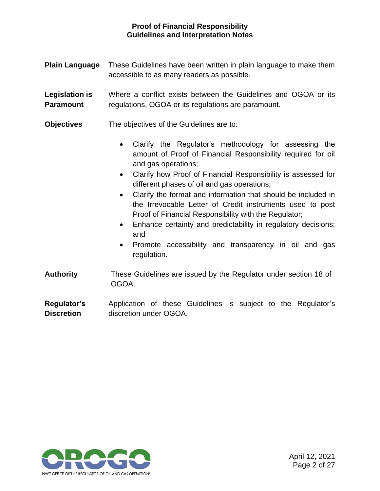- **Plain Language** These Guidelines have been written in plain language to make them accessible to as many readers as possible.
- **Legislation is Paramount** Where a conflict exists between the Guidelines and OGOA or its regulations, OGOA or its regulations are paramount.
- **Objectives** The objectives of the Guidelines are to:
	- Clarify the Regulator's methodology for assessing the amount of Proof of Financial Responsibility required for oil and gas operations;
	- Clarify how Proof of Financial Responsibility is assessed for different phases of oil and gas operations;
	- Clarify the format and information that should be included in the Irrevocable Letter of Credit instruments used to post Proof of Financial Responsibility with the Regulator;
	- Enhance certainty and predictability in regulatory decisions; and
	- Promote accessibility and transparency in oil and gas regulation.
- **Authority** These Guidelines are issued by the Regulator under section 18 of OGOA.
- **Regulator's Discretion** Application of these Guidelines is subject to the Regulator's discretion under OGOA.

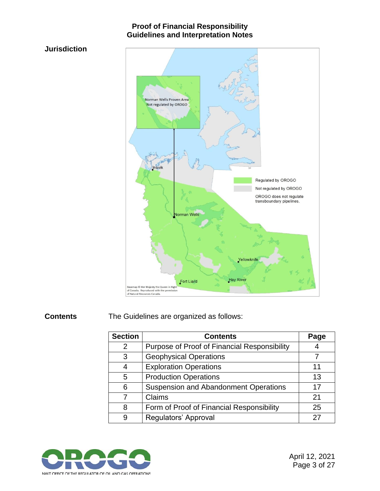### **Jurisdiction**



**Contents** The Guidelines are organized as follows:

| <b>Section</b> | <b>Contents</b>                                     | Page |
|----------------|-----------------------------------------------------|------|
| 2              | <b>Purpose of Proof of Financial Responsibility</b> |      |
| 3              | <b>Geophysical Operations</b>                       |      |
| 4              | <b>Exploration Operations</b>                       | 11   |
| 5              | <b>Production Operations</b>                        | 13   |
| 6              | <b>Suspension and Abandonment Operations</b>        | 17   |
|                | Claims                                              | 21   |
| 8              | Form of Proof of Financial Responsibility           | 25   |
| 9              | Regulators' Approval                                | 27   |

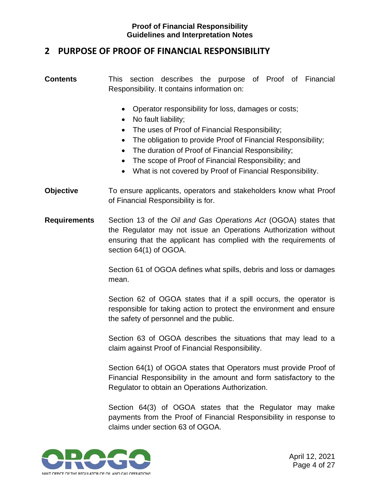# <span id="page-5-0"></span>**2 PURPOSE OF PROOF OF FINANCIAL RESPONSIBILITY**

- **Contents** This section describes the purpose of Proof of Financial Responsibility. It contains information on:
	- Operator responsibility for loss, damages or costs;
	- No fault liability;
	- The uses of Proof of Financial Responsibility;
	- The obligation to provide Proof of Financial Responsibility;
	- The duration of Proof of Financial Responsibility;
	- The scope of Proof of Financial Responsibility; and
	- What is not covered by Proof of Financial Responsibility.
- **Objective** To ensure applicants, operators and stakeholders know what Proof of Financial Responsibility is for.
- **Requirements** Section 13 of the *Oil and Gas Operations Act* (OGOA) states that the Regulator may not issue an Operations Authorization without ensuring that the applicant has complied with the requirements of section 64(1) of OGOA.

Section 61 of OGOA defines what spills, debris and loss or damages mean.

Section 62 of OGOA states that if a spill occurs, the operator is responsible for taking action to protect the environment and ensure the safety of personnel and the public.

Section 63 of OGOA describes the situations that may lead to a claim against Proof of Financial Responsibility.

Section 64(1) of OGOA states that Operators must provide Proof of Financial Responsibility in the amount and form satisfactory to the Regulator to obtain an Operations Authorization.

Section 64(3) of OGOA states that the Regulator may make payments from the Proof of Financial Responsibility in response to claims under section 63 of OGOA.

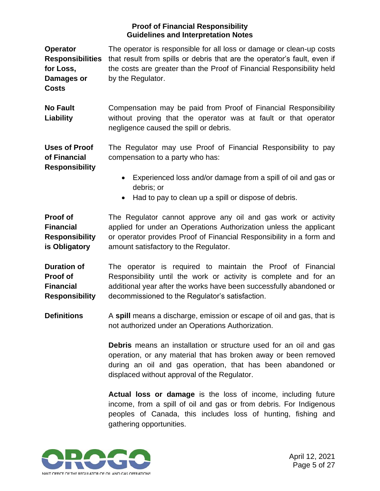**Operator Responsibilities** that result from spills or debris that are the operator's fault, even if **for Loss, Damages or Costs** The operator is responsible for all loss or damage or clean-up costs the costs are greater than the Proof of Financial Responsibility held by the Regulator. **No Fault Liability** Compensation may be paid from Proof of Financial Responsibility without proving that the operator was at fault or that operator negligence caused the spill or debris. **Uses of Proof of Financial Responsibility** The Regulator may use Proof of Financial Responsibility to pay compensation to a party who has: • Experienced loss and/or damage from a spill of oil and gas or debris; or • Had to pay to clean up a spill or dispose of debris. **Proof of Financial Responsibility**  The Regulator cannot approve any oil and gas work or activity applied for under an Operations Authorization unless the applicant or operator provides Proof of Financial Responsibility in a form and

**Duration of Proof of Financial Responsibility** The operator is required to maintain the Proof of Financial Responsibility until the work or activity is complete and for an additional year after the works have been successfully abandoned or decommissioned to the Regulator's satisfaction.

amount satisfactory to the Regulator.

**Definitions** A spill means a discharge, emission or escape of oil and gas, that is not authorized under an Operations Authorization.

> **Debris** means an installation or structure used for an oil and gas operation, or any material that has broken away or been removed during an oil and gas operation, that has been abandoned or displaced without approval of the Regulator.

> **Actual loss or damage** is the loss of income, including future income, from a spill of oil and gas or from debris. For Indigenous peoples of Canada, this includes loss of hunting, fishing and gathering opportunities.



**is Obligatory**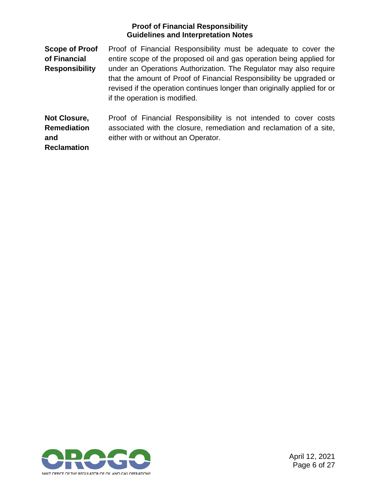**Scope of Proof of Financial Responsibility** Proof of Financial Responsibility must be adequate to cover the entire scope of the proposed oil and gas operation being applied for under an Operations Authorization. The Regulator may also require that the amount of Proof of Financial Responsibility be upgraded or revised if the operation continues longer than originally applied for or if the operation is modified.

**Not Closure, Remediation and**  Proof of Financial Responsibility is not intended to cover costs associated with the closure, remediation and reclamation of a site, either with or without an Operator.

**Reclamation**

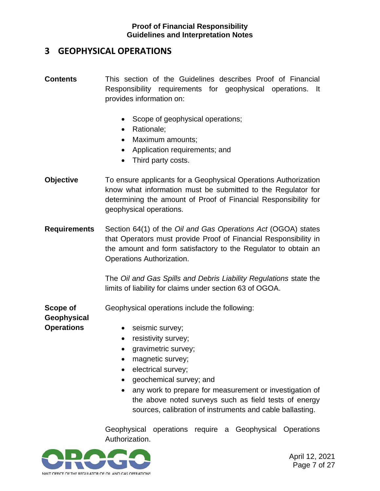# <span id="page-8-0"></span>**3 GEOPHYSICAL OPERATIONS**

- **Contents** This section of the Guidelines describes Proof of Financial Responsibility requirements for geophysical operations. It provides information on:
	- Scope of geophysical operations;
	- Rationale:
	- Maximum amounts;
	- Application requirements; and
	- Third party costs.
- **Objective** To ensure applicants for a Geophysical Operations Authorization know what information must be submitted to the Regulator for determining the amount of Proof of Financial Responsibility for geophysical operations.
- **Requirements** Section 64(1) of the *Oil and Gas Operations Act* (OGOA) states that Operators must provide Proof of Financial Responsibility in the amount and form satisfactory to the Regulator to obtain an Operations Authorization.

The *Oil and Gas Spills and Debris Liability Regulations* state the limits of liability for claims under section 63 of OGOA.

**Scope of**  Geophysical operations include the following:

**Geophysical Operations**

- seismic survey;
- resistivity survey;
- gravimetric survey;
- magnetic survey;
- electrical survey;
- geochemical survey; and
- any work to prepare for measurement or investigation of the above noted surveys such as field tests of energy sources, calibration of instruments and cable ballasting.

Geophysical operations require a Geophysical Operations Authorization.

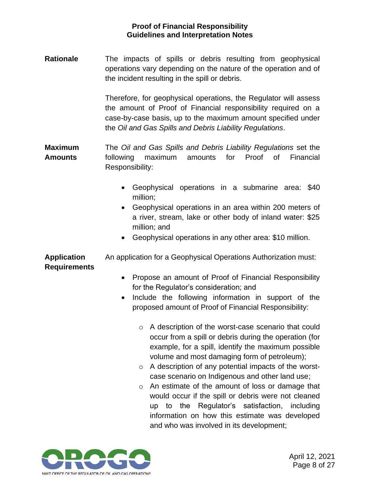**Rationale** The impacts of spills or debris resulting from geophysical operations vary depending on the nature of the operation and of the incident resulting in the spill or debris.

> Therefore, for geophysical operations, the Regulator will assess the amount of Proof of Financial responsibility required on a case-by-case basis, up to the maximum amount specified under the *Oil and Gas Spills and Debris Liability Regulations*.

**Maximum Amounts**  The *Oil and Gas Spills and Debris Liability Regulations* set the following maximum amounts for Proof of Financial Responsibility:

- Geophysical operations in a submarine area: \$40 million;
- Geophysical operations in an area within 200 meters of a river, stream, lake or other body of inland water: \$25 million; and
- Geophysical operations in any other area: \$10 million.

**Application Requirements** An application for a Geophysical Operations Authorization must:

- Propose an amount of Proof of Financial Responsibility for the Regulator's consideration; and
- Include the following information in support of the proposed amount of Proof of Financial Responsibility:
	- o A description of the worst-case scenario that could occur from a spill or debris during the operation (for example, for a spill, identify the maximum possible volume and most damaging form of petroleum);
	- o A description of any potential impacts of the worstcase scenario on Indigenous and other land use;
	- o An estimate of the amount of loss or damage that would occur if the spill or debris were not cleaned up to the Regulator's satisfaction, including information on how this estimate was developed and who was involved in its development;

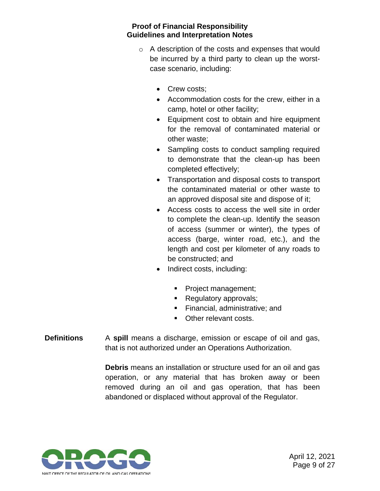- o A description of the costs and expenses that would be incurred by a third party to clean up the worstcase scenario, including:
	- Crew costs;
	- Accommodation costs for the crew, either in a camp, hotel or other facility;
	- Equipment cost to obtain and hire equipment for the removal of contaminated material or other waste;
	- Sampling costs to conduct sampling required to demonstrate that the clean-up has been completed effectively;
	- Transportation and disposal costs to transport the contaminated material or other waste to an approved disposal site and dispose of it;
	- Access costs to access the well site in order to complete the clean-up. Identify the season of access (summer or winter), the types of access (barge, winter road, etc.), and the length and cost per kilometer of any roads to be constructed; and
	- Indirect costs, including:
		- Project management;
		- Regulatory approvals;
		- **EXECTE:** Financial, administrative; and
		- Other relevant costs.
- **Definitions** A **spill** means a discharge, emission or escape of oil and gas, that is not authorized under an Operations Authorization.

**Debris** means an installation or structure used for an oil and gas operation, or any material that has broken away or been removed during an oil and gas operation, that has been abandoned or displaced without approval of the Regulator.

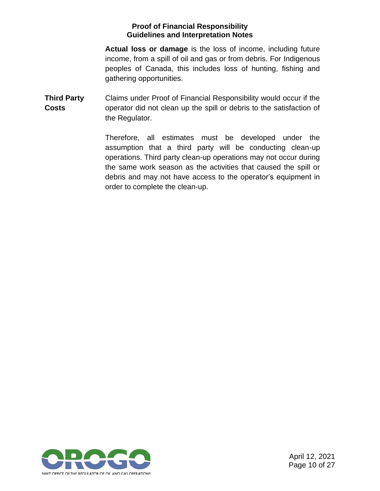**Actual loss or damage** is the loss of income, including future income, from a spill of oil and gas or from debris. For Indigenous peoples of Canada, this includes loss of hunting, fishing and gathering opportunities.

**Third Party Costs** Claims under Proof of Financial Responsibility would occur if the operator did not clean up the spill or debris to the satisfaction of the Regulator.

> Therefore, all estimates must be developed under the assumption that a third party will be conducting clean-up operations. Third party clean-up operations may not occur during the same work season as the activities that caused the spill or debris and may not have access to the operator's equipment in order to complete the clean-up.

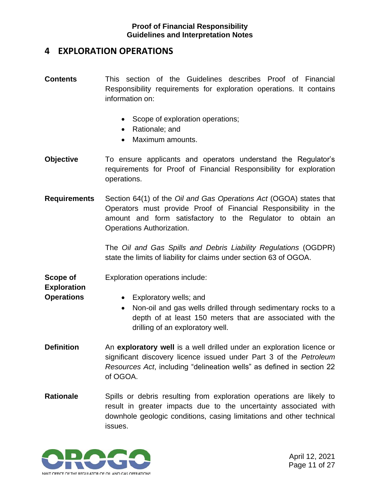# <span id="page-12-0"></span>**4 EXPLORATION OPERATIONS**

- **Contents** This section of the Guidelines describes Proof of Financial Responsibility requirements for exploration operations. It contains information on:
	- Scope of exploration operations;
	- Rationale; and
	- Maximum amounts.
- **Objective** To ensure applicants and operators understand the Regulator's requirements for Proof of Financial Responsibility for exploration operations.
- **Requirements** Section 64(1) of the *Oil and Gas Operations Act* (OGOA) states that Operators must provide Proof of Financial Responsibility in the amount and form satisfactory to the Regulator to obtain an Operations Authorization.

The *Oil and Gas Spills and Debris Liability Regulations* (OGDPR) state the limits of liability for claims under section 63 of OGOA.

**Scope of**  Exploration operations include:

**Exploration** 

- **Operations**
- Exploratory wells; and
- Non-oil and gas wells drilled through sedimentary rocks to a depth of at least 150 meters that are associated with the drilling of an exploratory well.
- **Definition** An **exploratory well** is a well drilled under an exploration licence or significant discovery licence issued under Part 3 of the *Petroleum Resources Act*, including "delineation wells" as defined in section 22 of OGOA.
- **Rationale** Spills or debris resulting from exploration operations are likely to result in greater impacts due to the uncertainty associated with downhole geologic conditions, casing limitations and other technical issues.

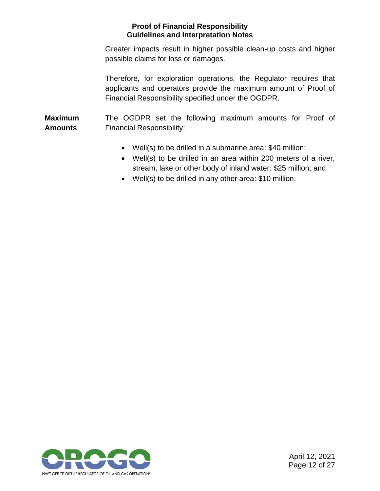Greater impacts result in higher possible clean-up costs and higher possible claims for loss or damages.

Therefore, for exploration operations, the Regulator requires that applicants and operators provide the maximum amount of Proof of Financial Responsibility specified under the OGDPR.

**Maximum Amounts**  The OGDPR set the following maximum amounts for Proof of Financial Responsibility:

- Well(s) to be drilled in a submarine area: \$40 million;
- Well(s) to be drilled in an area within 200 meters of a river, stream, lake or other body of inland water: \$25 million; and
- Well(s) to be drilled in any other area: \$10 million.

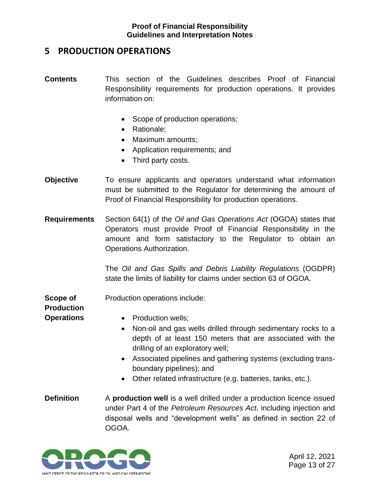# <span id="page-14-0"></span>**5 PRODUCTION OPERATIONS**

- **Contents** This section of the Guidelines describes Proof of Financial Responsibility requirements for production operations. It provides information on:
	- Scope of production operations;
	- Rationale:
	- Maximum amounts;
	- Application requirements; and
	- Third party costs.
- **Objective** To ensure applicants and operators understand what information must be submitted to the Regulator for determining the amount of Proof of Financial Responsibility for production operations.
- **Requirements** Section 64(1) of the *Oil and Gas Operations Act* (OGOA) states that Operators must provide Proof of Financial Responsibility in the amount and form satisfactory to the Regulator to obtain an Operations Authorization.

The *Oil and Gas Spills and Debris Liability Regulations* (OGDPR) state the limits of liability for claims under section 63 of OGOA.

**Scope of**  Production operations include:

#### **Production**

- **Operations**
- Production wells;
- Non-oil and gas wells drilled through sedimentary rocks to a depth of at least 150 meters that are associated with the drilling of an exploratory well;
- Associated pipelines and gathering systems (excluding transboundary pipelines); and
- Other related infrastructure (e.g. batteries, tanks, etc.).
- **Definition** A **production well** is a well drilled under a production licence issued under Part 4 of the *Petroleum Resources Act*, including injection and disposal wells and "development wells" as defined in section 22 of OGOA.

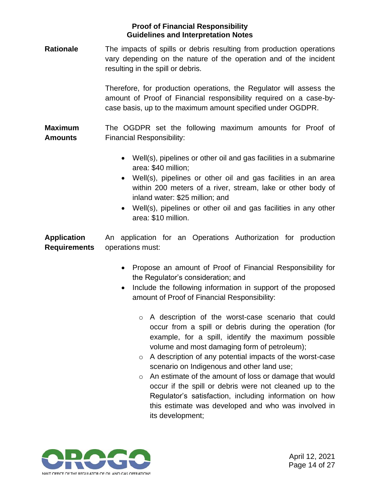**Rationale** The impacts of spills or debris resulting from production operations vary depending on the nature of the operation and of the incident resulting in the spill or debris.

> Therefore, for production operations, the Regulator will assess the amount of Proof of Financial responsibility required on a case-bycase basis, up to the maximum amount specified under OGDPR.

**Maximum Amounts**  The OGDPR set the following maximum amounts for Proof of Financial Responsibility:

- Well(s), pipelines or other oil and gas facilities in a submarine area: \$40 million;
- Well(s), pipelines or other oil and gas facilities in an area within 200 meters of a river, stream, lake or other body of inland water: \$25 million; and
- Well(s), pipelines or other oil and gas facilities in any other area: \$10 million.

**Application Requirements** An application for an Operations Authorization for production operations must:

- Propose an amount of Proof of Financial Responsibility for the Regulator's consideration; and
- Include the following information in support of the proposed amount of Proof of Financial Responsibility:
	- o A description of the worst-case scenario that could occur from a spill or debris during the operation (for example, for a spill, identify the maximum possible volume and most damaging form of petroleum);
	- o A description of any potential impacts of the worst-case scenario on Indigenous and other land use;
	- o An estimate of the amount of loss or damage that would occur if the spill or debris were not cleaned up to the Regulator's satisfaction, including information on how this estimate was developed and who was involved in its development;

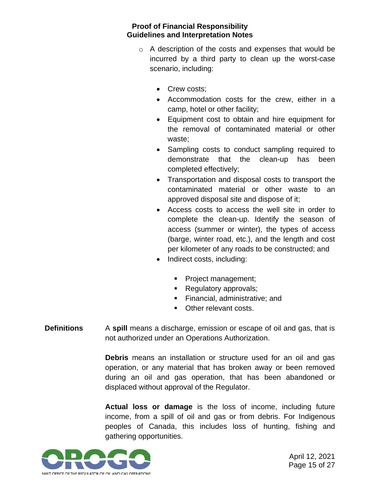- o A description of the costs and expenses that would be incurred by a third party to clean up the worst-case scenario, including:
	- Crew costs;
	- Accommodation costs for the crew, either in a camp, hotel or other facility;
	- Equipment cost to obtain and hire equipment for the removal of contaminated material or other waste;
	- Sampling costs to conduct sampling required to demonstrate that the clean-up has been completed effectively;
	- Transportation and disposal costs to transport the contaminated material or other waste to an approved disposal site and dispose of it;
	- Access costs to access the well site in order to complete the clean-up. Identify the season of access (summer or winter), the types of access (barge, winter road, etc.), and the length and cost per kilometer of any roads to be constructed; and
	- Indirect costs, including:
		- Project management;
		- Regulatory approvals;
		- Financial, administrative; and
		- Other relevant costs.
- **Definitions** A spill means a discharge, emission or escape of oil and gas, that is not authorized under an Operations Authorization.

**Debris** means an installation or structure used for an oil and gas operation, or any material that has broken away or been removed during an oil and gas operation, that has been abandoned or displaced without approval of the Regulator.

**Actual loss or damage** is the loss of income, including future income, from a spill of oil and gas or from debris. For Indigenous peoples of Canada, this includes loss of hunting, fishing and gathering opportunities.

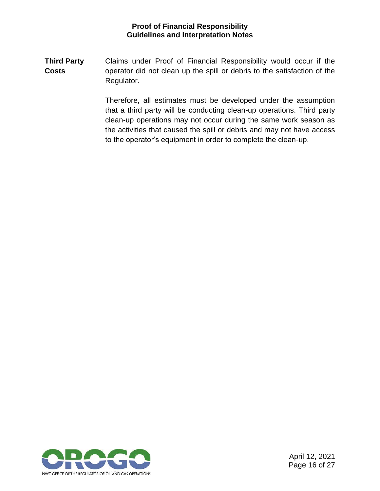**Third Party Costs** Claims under Proof of Financial Responsibility would occur if the operator did not clean up the spill or debris to the satisfaction of the Regulator.

> Therefore, all estimates must be developed under the assumption that a third party will be conducting clean-up operations. Third party clean-up operations may not occur during the same work season as the activities that caused the spill or debris and may not have access to the operator's equipment in order to complete the clean-up.

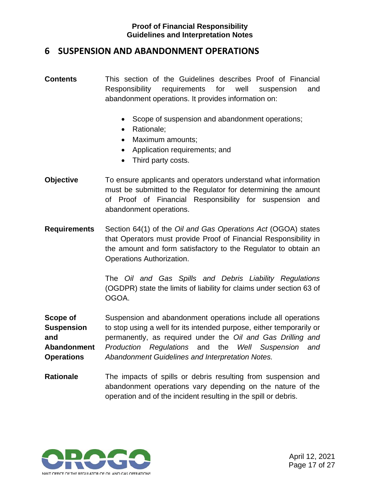## <span id="page-18-0"></span>**6 SUSPENSION AND ABANDONMENT OPERATIONS**

- **Contents** This section of the Guidelines describes Proof of Financial Responsibility requirements for well suspension and abandonment operations. It provides information on:
	- Scope of suspension and abandonment operations;
	- Rationale;
	- Maximum amounts;
	- Application requirements; and
	- Third party costs.
- **Objective** To ensure applicants and operators understand what information must be submitted to the Regulator for determining the amount of Proof of Financial Responsibility for suspension and abandonment operations.
- **Requirements** Section 64(1) of the *Oil and Gas Operations Act* (OGOA) states that Operators must provide Proof of Financial Responsibility in the amount and form satisfactory to the Regulator to obtain an Operations Authorization.

The *Oil and Gas Spills and Debris Liability Regulations* (OGDPR) state the limits of liability for claims under section 63 of OGOA.

**Scope of Suspension and Abandonment Operations**  Suspension and abandonment operations include all operations to stop using a well for its intended purpose, either temporarily or permanently, as required under the *Oil and Gas Drilling and Production Regulations* and the *Well Suspension and Abandonment Guidelines and Interpretation Notes.*

**Rationale** The impacts of spills or debris resulting from suspension and abandonment operations vary depending on the nature of the operation and of the incident resulting in the spill or debris.

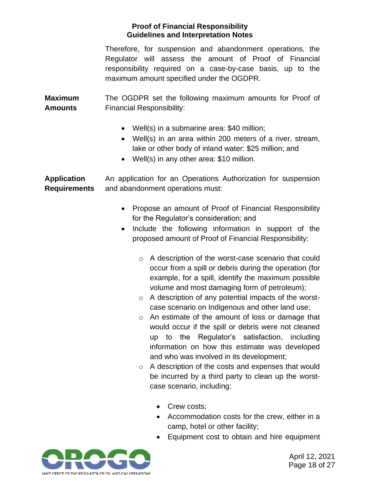Therefore, for suspension and abandonment operations, the Regulator will assess the amount of Proof of Financial responsibility required on a case-by-case basis, up to the maximum amount specified under the OGDPR.

**Maximum Amounts**  The OGDPR set the following maximum amounts for Proof of Financial Responsibility:

- Well(s) in a submarine area: \$40 million;
- Well(s) in an area within 200 meters of a river, stream, lake or other body of inland water: \$25 million; and
- Well(s) in any other area: \$10 million.

**Application Requirements** An application for an Operations Authorization for suspension and abandonment operations must:

- Propose an amount of Proof of Financial Responsibility for the Regulator's consideration; and
- Include the following information in support of the proposed amount of Proof of Financial Responsibility:
	- o A description of the worst-case scenario that could occur from a spill or debris during the operation (for example, for a spill, identify the maximum possible volume and most damaging form of petroleum);
	- o A description of any potential impacts of the worstcase scenario on Indigenous and other land use;
	- o An estimate of the amount of loss or damage that would occur if the spill or debris were not cleaned up to the Regulator's satisfaction, including information on how this estimate was developed and who was involved in its development;
	- o A description of the costs and expenses that would be incurred by a third party to clean up the worstcase scenario, including:
		- Crew costs;
		- Accommodation costs for the crew, either in a camp, hotel or other facility;
		- Equipment cost to obtain and hire equipment



April 12, 2021 Page 18 of 27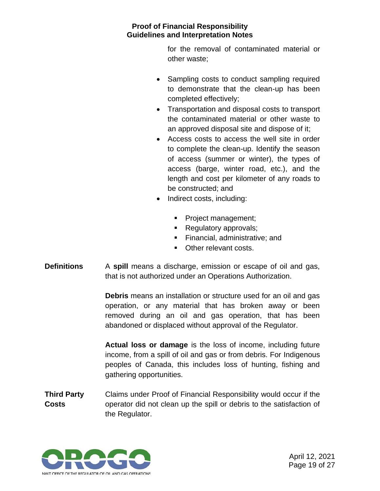for the removal of contaminated material or other waste;

- Sampling costs to conduct sampling required to demonstrate that the clean-up has been completed effectively;
- Transportation and disposal costs to transport the contaminated material or other waste to an approved disposal site and dispose of it;
- Access costs to access the well site in order to complete the clean-up. Identify the season of access (summer or winter), the types of access (barge, winter road, etc.), and the length and cost per kilometer of any roads to be constructed; and
- Indirect costs, including:
	- Project management;
	- Regulatory approvals;
	- **Example 1** Financial, administrative; and
	- Other relevant costs.
- **Definitions** A spill means a discharge, emission or escape of oil and gas, that is not authorized under an Operations Authorization.

**Debris** means an installation or structure used for an oil and gas operation, or any material that has broken away or been removed during an oil and gas operation, that has been abandoned or displaced without approval of the Regulator.

**Actual loss or damage** is the loss of income, including future income, from a spill of oil and gas or from debris. For Indigenous peoples of Canada, this includes loss of hunting, fishing and gathering opportunities.

**Third Party Costs** Claims under Proof of Financial Responsibility would occur if the operator did not clean up the spill or debris to the satisfaction of the Regulator.



April 12, 2021 Page 19 of 27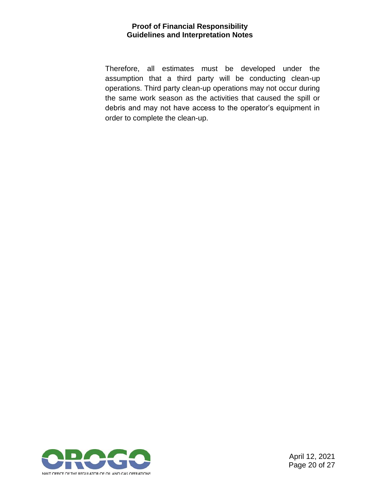Therefore, all estimates must be developed under the assumption that a third party will be conducting clean-up operations. Third party clean-up operations may not occur during the same work season as the activities that caused the spill or debris and may not have access to the operator's equipment in order to complete the clean-up.



April 12, 2021 Page 20 of 27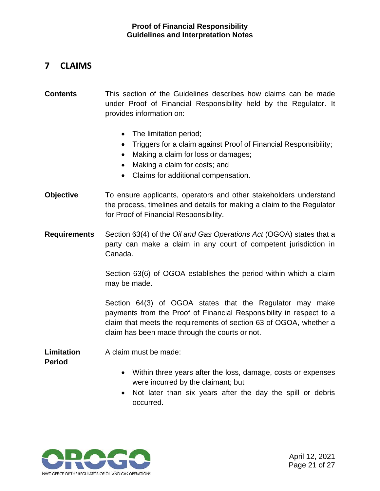# <span id="page-22-0"></span>**7 CLAIMS**

- **Contents** This section of the Guidelines describes how claims can be made under Proof of Financial Responsibility held by the Regulator. It provides information on:
	- The limitation period:
	- Triggers for a claim against Proof of Financial Responsibility;
	- Making a claim for loss or damages;
	- Making a claim for costs; and
	- Claims for additional compensation.
- **Objective** To ensure applicants, operators and other stakeholders understand the process, timelines and details for making a claim to the Regulator for Proof of Financial Responsibility.
- **Requirements** Section 63(4) of the *Oil and Gas Operations Act* (OGOA) states that a party can make a claim in any court of competent jurisdiction in Canada.

Section 63(6) of OGOA establishes the period within which a claim may be made.

Section 64(3) of OGOA states that the Regulator may make payments from the Proof of Financial Responsibility in respect to a claim that meets the requirements of section 63 of OGOA, whether a claim has been made through the courts or not.

**Limitation Period** A claim must be made:

- Within three years after the loss, damage, costs or expenses were incurred by the claimant; but
- Not later than six years after the day the spill or debris occurred.



April 12, 2021 Page 21 of 27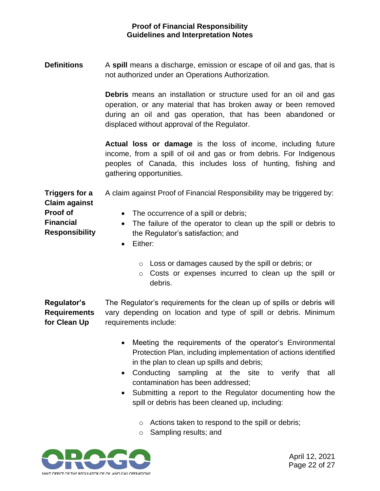**Definitions** A spill means a discharge, emission or escape of oil and gas, that is not authorized under an Operations Authorization.

> **Debris** means an installation or structure used for an oil and gas operation, or any material that has broken away or been removed during an oil and gas operation, that has been abandoned or displaced without approval of the Regulator.

> **Actual loss or damage** is the loss of income, including future income, from a spill of oil and gas or from debris. For Indigenous peoples of Canada, this includes loss of hunting, fishing and gathering opportunities.

**Triggers for a Claim against Proof of Financial Responsibility** A claim against Proof of Financial Responsibility may be triggered by: • The occurrence of a spill or debris; • The failure of the operator to clean up the spill or debris to the Regulator's satisfaction; and

- Either:
	- o Loss or damages caused by the spill or debris; or
	- o Costs or expenses incurred to clean up the spill or debris.

**Regulator's Requirements for Clean Up** The Regulator's requirements for the clean up of spills or debris will vary depending on location and type of spill or debris. Minimum requirements include:

- Meeting the requirements of the operator's Environmental Protection Plan, including implementation of actions identified in the plan to clean up spills and debris;
- Conducting sampling at the site to verify that all contamination has been addressed;
- Submitting a report to the Regulator documenting how the spill or debris has been cleaned up, including:
	- o Actions taken to respond to the spill or debris;
	- o Sampling results; and

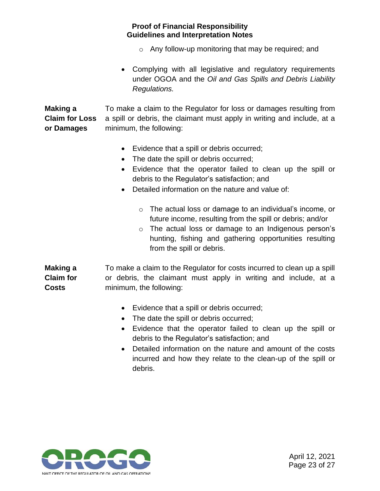- o Any follow-up monitoring that may be required; and
- Complying with all legislative and regulatory requirements under OGOA and the *Oil and Gas Spills and Debris Liability Regulations.*

**Making a Claim for Loss or Damages** To make a claim to the Regulator for loss or damages resulting from a spill or debris, the claimant must apply in writing and include, at a minimum, the following:

- Evidence that a spill or debris occurred;
- The date the spill or debris occurred;
- Evidence that the operator failed to clean up the spill or debris to the Regulator's satisfaction; and
- Detailed information on the nature and value of:
	- o The actual loss or damage to an individual's income, or future income, resulting from the spill or debris; and/or
	- o The actual loss or damage to an Indigenous person's hunting, fishing and gathering opportunities resulting from the spill or debris.

**Making a Claim for Costs** To make a claim to the Regulator for costs incurred to clean up a spill or debris, the claimant must apply in writing and include, at a minimum, the following:

- Evidence that a spill or debris occurred;
- The date the spill or debris occurred;
- Evidence that the operator failed to clean up the spill or debris to the Regulator's satisfaction; and
- Detailed information on the nature and amount of the costs incurred and how they relate to the clean-up of the spill or debris.



April 12, 2021 Page 23 of 27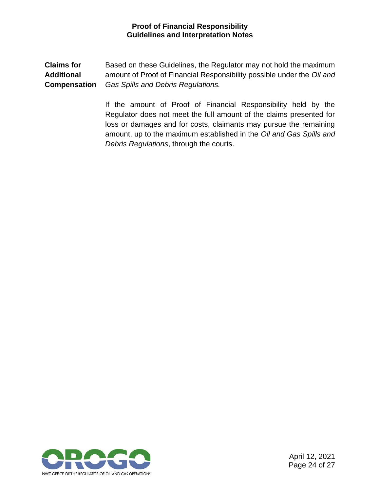**Claims for Additional Compensation** Based on these Guidelines, the Regulator may not hold the maximum amount of Proof of Financial Responsibility possible under the *Oil and Gas Spills and Debris Regulations.*

> <span id="page-25-0"></span>If the amount of Proof of Financial Responsibility held by the Regulator does not meet the full amount of the claims presented for loss or damages and for costs, claimants may pursue the remaining amount, up to the maximum established in the *Oil and Gas Spills and Debris Regulations*, through the courts.

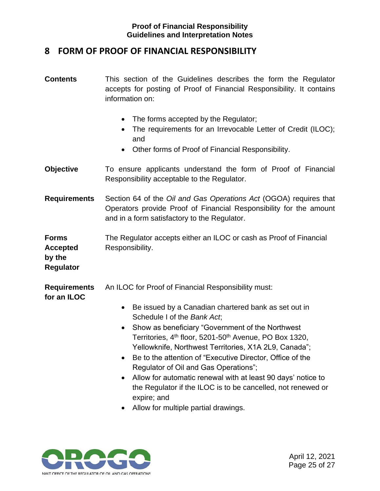# **8 FORM OF PROOF OF FINANCIAL RESPONSIBILITY**

- **Contents** This section of the Guidelines describes the form the Regulator accepts for posting of Proof of Financial Responsibility. It contains information on: • The forms accepted by the Regulator; • The requirements for an Irrevocable Letter of Credit (ILOC); and • Other forms of Proof of Financial Responsibility. **Objective** To ensure applicants understand the form of Proof of Financial Responsibility acceptable to the Regulator. **Requirements** Section 64 of the *Oil and Gas Operations Act* (OGOA) requires that Operators provide Proof of Financial Responsibility for the amount and in a form satisfactory to the Regulator. **Forms Accepted by the Regulator** The Regulator accepts either an ILOC or cash as Proof of Financial Responsibility. **Requirements for an ILOC** An ILOC for Proof of Financial Responsibility must: • Be issued by a Canadian chartered bank as set out in Schedule I of the *Bank Act*; • Show as beneficiary "Government of the Northwest Territories, 4<sup>th</sup> floor, 5201-50<sup>th</sup> Avenue, PO Box 1320, Yellowknife, Northwest Territories, X1A 2L9, Canada"; • Be to the attention of "Executive Director, Office of the Regulator of Oil and Gas Operations"; • Allow for automatic renewal with at least 90 days' notice to the Regulator if the ILOC is to be cancelled, not renewed or expire; and
	- Allow for multiple partial drawings.

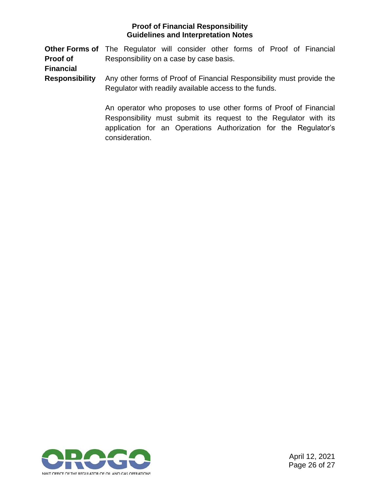**Other Forms of** The Regulator will consider other forms of Proof of Financial **Proof of**  Responsibility on a case by case basis.

**Financial** 

**Responsibility** Any other forms of Proof of Financial Responsibility must provide the Regulator with readily available access to the funds.

> An operator who proposes to use other forms of Proof of Financial Responsibility must submit its request to the Regulator with its application for an Operations Authorization for the Regulator's consideration.